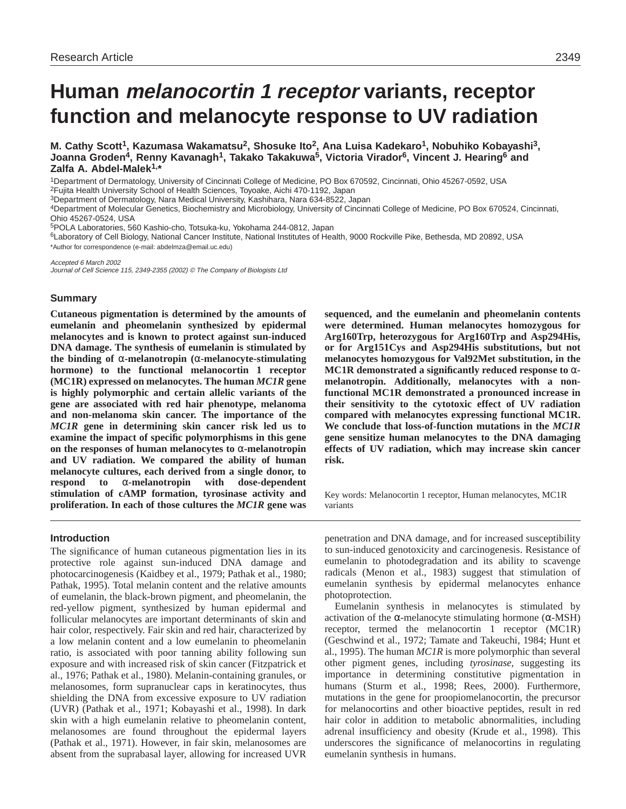# **Human melanocortin 1 receptor variants, receptor function and melanocyte response to UV radiation**

**M. Cathy Scott1, Kazumasa Wakamatsu2, Shosuke Ito2, Ana Luisa Kadekaro1, Nobuhiko Kobayashi3, Joanna Groden4, Renny Kavanagh1, Takako Takakuwa5, Victoria Virador6, Vincent J. Hearing6 and Zalfa A. Abdel-Malek1,\***

1Department of Dermatology, University of Cincinnati College of Medicine, PO Box 670592, Cincinnati, Ohio 45267-0592, USA 2Fujita Health University School of Health Sciences, Toyoake, Aichi 470-1192, Japan

3Department of Dermatology, Nara Medical University, Kashihara, Nara 634-8522, Japan

4Department of Molecular Genetics, Biochemistry and Microbiology, University of Cincinnati College of Medicine, PO Box 670524, Cincinnati, Ohio 45267-0524, USA

5POLA Laboratories, 560 Kashio-cho, Totsuka-ku, Yokohama 244-0812, Japan

6Laboratory of Cell Biology, National Cancer Institute, National Institutes of Health, 9000 Rockville Pike, Bethesda, MD 20892, USA \*Author for correspondence (e-mail: abdelmza@email.uc.edu)

Accepted 6 March 2002

Journal of Cell Science 115, 2349-2355 (2002) © The Company of Biologists Ltd

#### **Summary**

**Cutaneous pigmentation is determined by the amounts of eumelanin and pheomelanin synthesized by epidermal melanocytes and is known to protect against sun-induced DNA damage. The synthesis of eumelanin is stimulated by the binding of** α**-melanotropin (**α**-melanocyte-stimulating hormone) to the functional melanocortin 1 receptor (MC1R) expressed on melanocytes. The human** *MC1R* **gene is highly polymorphic and certain allelic variants of the gene are associated with red hair phenotype, melanoma and non-melanoma skin cancer. The importance of the** *MC1R* **gene in determining skin cancer risk led us to examine the impact of specific polymorphisms in this gene on the responses of human melanocytes to** α**-melanotropin and UV radiation. We compared the ability of human melanocyte cultures, each derived from a single donor, to respond to** α**-melanotropin with dose-dependent stimulation of cAMP formation, tyrosinase activity and proliferation. In each of those cultures the** *MC1R* **gene was**

## **Introduction**

The significance of human cutaneous pigmentation lies in its protective role against sun-induced DNA damage and photocarcinogenesis (Kaidbey et al., 1979; Pathak et al., 1980; Pathak, 1995). Total melanin content and the relative amounts of eumelanin, the black-brown pigment, and pheomelanin, the red-yellow pigment, synthesized by human epidermal and follicular melanocytes are important determinants of skin and hair color, respectively. Fair skin and red hair, characterized by a low melanin content and a low eumelanin to pheomelanin ratio, is associated with poor tanning ability following sun exposure and with increased risk of skin cancer (Fitzpatrick et al., 1976; Pathak et al., 1980). Melanin-containing granules, or melanosomes, form supranuclear caps in keratinocytes, thus shielding the DNA from excessive exposure to UV radiation (UVR) (Pathak et al., 1971; Kobayashi et al., 1998). In dark skin with a high eumelanin relative to pheomelanin content, melanosomes are found throughout the epidermal layers (Pathak et al., 1971). However, in fair skin, melanosomes are absent from the suprabasal layer, allowing for increased UVR

**sequenced, and the eumelanin and pheomelanin contents were determined. Human melanocytes homozygous for Arg160Trp, heterozygous for Arg160Trp and Asp294His, or for Arg151Cys and Asp294His substitutions, but not melanocytes homozygous for Val92Met substitution, in the MC1R demonstrated a significantly reduced response to** α**melanotropin. Additionally, melanocytes with a nonfunctional MC1R demonstrated a pronounced increase in their sensitivity to the cytotoxic effect of UV radiation compared with melanocytes expressing functional MC1R. We conclude that loss-of-function mutations in the** *MC1R* **gene sensitize human melanocytes to the DNA damaging effects of UV radiation, which may increase skin cancer risk.**

Key words: Melanocortin 1 receptor, Human melanocytes, MC1R variants

penetration and DNA damage, and for increased susceptibility to sun-induced genotoxicity and carcinogenesis. Resistance of eumelanin to photodegradation and its ability to scavenge radicals (Menon et al., 1983) suggest that stimulation of eumelanin synthesis by epidermal melanocytes enhance photoprotection.

Eumelanin synthesis in melanocytes is stimulated by activation of the α-melanocyte stimulating hormone  $(α$ -MSH) receptor, termed the melanocortin 1 receptor (MC1R) (Geschwind et al., 1972; Tamate and Takeuchi, 1984; Hunt et al., 1995). The human *MC1R* is more polymorphic than several other pigment genes, including *tyrosinase,* suggesting its importance in determining constitutive pigmentation in humans (Sturm et al., 1998; Rees, 2000). Furthermore, mutations in the gene for proopiomelanocortin, the precursor for melanocortins and other bioactive peptides, result in red hair color in addition to metabolic abnormalities, including adrenal insufficiency and obesity (Krude et al., 1998). This underscores the significance of melanocortins in regulating eumelanin synthesis in humans.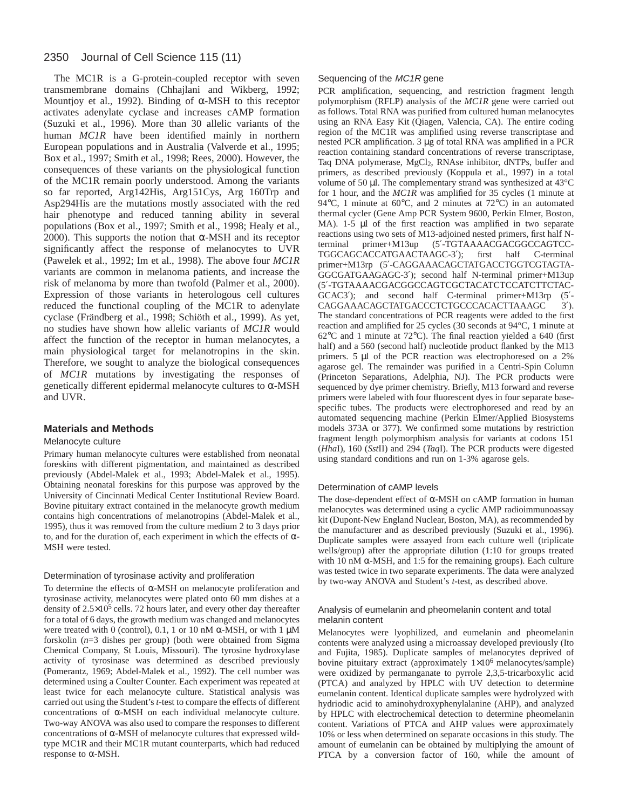# 2350 Journal of Cell Science 115 (11)

The MC1R is a G-protein-coupled receptor with seven transmembrane domains (Chhajlani and Wikberg, 1992; Mountjoy et al., 1992). Binding of α-MSH to this receptor activates adenylate cyclase and increases cAMP formation (Suzuki et al., 1996). More than 30 allelic variants of the human *MC1R* have been identified mainly in northern European populations and in Australia (Valverde et al., 1995; Box et al., 1997; Smith et al., 1998; Rees, 2000). However, the consequences of these variants on the physiological function of the MC1R remain poorly understood. Among the variants so far reported, Arg142His, Arg151Cys, Arg 160Trp and Asp294His are the mutations mostly associated with the red hair phenotype and reduced tanning ability in several populations (Box et al., 1997; Smith et al., 1998; Healy et al., 2000). This supports the notion that  $\alpha$ -MSH and its receptor significantly affect the response of melanocytes to UVR (Pawelek et al., 1992; Im et al., 1998). The above four *MC1R* variants are common in melanoma patients, and increase the risk of melanoma by more than twofold (Palmer et al., 2000). Expression of those variants in heterologous cell cultures reduced the functional coupling of the MC1R to adenylate cyclase (Frändberg et al., 1998; Schiöth et al., 1999). As yet, no studies have shown how allelic variants of *MC1R* would affect the function of the receptor in human melanocytes, a main physiological target for melanotropins in the skin. Therefore, we sought to analyze the biological consequences of *MC1R* mutations by investigating the responses of genetically different epidermal melanocyte cultures to α-MSH and UVR.

#### **Materials and Methods**

#### Melanocyte culture

Primary human melanocyte cultures were established from neonatal foreskins with different pigmentation, and maintained as described previously (Abdel-Malek et al., 1993; Abdel-Malek et al., 1995). Obtaining neonatal foreskins for this purpose was approved by the University of Cincinnati Medical Center Institutional Review Board. Bovine pituitary extract contained in the melanocyte growth medium contains high concentrations of melanotropins (Abdel-Malek et al., 1995), thus it was removed from the culture medium 2 to 3 days prior to, and for the duration of, each experiment in which the effects of α-MSH were tested.

#### Determination of tyrosinase activity and proliferation

To determine the effects of α-MSH on melanocyte proliferation and tyrosinase activity, melanocytes were plated onto 60 mm dishes at a density of  $2.5 \times 10^5$  cells. 72 hours later, and every other day thereafter for a total of 6 days, the growth medium was changed and melanocytes were treated with 0 (control), 0.1, 1 or 10 nM  $\alpha$ -MSH, or with 1  $\mu$ M forskolin (*n*=3 dishes per group) (both were obtained from Sigma Chemical Company, St Louis, Missouri). The tyrosine hydroxylase activity of tyrosinase was determined as described previously (Pomerantz, 1969; Abdel-Malek et al., 1992). The cell number was determined using a Coulter Counter. Each experiment was repeated at least twice for each melanocyte culture. Statistical analysis was carried out using the Student's *t*-test to compare the effects of different concentrations of α-MSH on each individual melanocyte culture. Two-way ANOVA was also used to compare the responses to different concentrations of α-MSH of melanocyte cultures that expressed wildtype MC1R and their MC1R mutant counterparts, which had reduced response to α-MSH.

#### Sequencing of the MC1R gene

PCR amplification, sequencing, and restriction fragment length polymorphism (RFLP) analysis of the *MC1R* gene were carried out as follows. Total RNA was purified from cultured human melanocytes using an RNA Easy Kit (Qiagen, Valencia, CA). The entire coding region of the MC1R was amplified using reverse transcriptase and nested PCR amplification. 3 µg of total RNA was amplified in a PCR reaction containing standard concentrations of reverse transcriptase, Taq DNA polymerase, MgCl2, RNAse inhibitor, dNTPs, buffer and primers, as described previously (Koppula et al., 1997) in a total volume of 50 µl. The complementary strand was synthesized at 43°C for 1 hour, and the *MC1R* was amplified for 35 cycles (1 minute at 94°C, 1 minute at 60°C, and 2 minutes at 72°C) in an automated thermal cycler (Gene Amp PCR System 9600, Perkin Elmer, Boston, MA). 1-5 µl of the first reaction was amplified in two separate reactions using two sets of M13-adjoined nested primers, first half Nterminal primer+M13up (5′-TGTAAAACGACGGCCAGTCC-TGGCAGCACCATGAACTAAGC-3′); first half C-terminal primer+M13rp (5′-CAGGAAACAGCTATGACCTGGTCGTAGTA-GGCGATGAAGAGC-3′); second half N-terminal primer+M13up (5′-TGTAAAACGACGGCCAGTCGCTACATCTCCATCTTCTAC-GCAC3′); and second half C-terminal primer+M13rp (5′- CAGGAAACAGCTATGACCCTCTGCCCACACTTAAAGC 3'). The standard concentrations of PCR reagents were added to the first reaction and amplified for 25 cycles (30 seconds at 94°C, 1 minute at 62°C and 1 minute at 72°C). The final reaction yielded a 640 (first half) and a 560 (second half) nucleotide product flanked by the M13 primers. 5 µl of the PCR reaction was electrophoresed on a 2% agarose gel. The remainder was purified in a Centri-Spin Column (Princeton Separations, Adelphia, NJ). The PCR products were sequenced by dye primer chemistry. Briefly, M13 forward and reverse primers were labeled with four fluorescent dyes in four separate basespecific tubes. The products were electrophoresed and read by an automated sequencing machine (Perkin Elmer/Applied Biosystems models 373A or 377). We confirmed some mutations by restriction fragment length polymorphism analysis for variants at codons 151 (*Hha*I), 160 (*Sst*II) and 294 (*Taq*I). The PCR products were digested using standard conditions and run on 1-3% agarose gels.

#### Determination of cAMP levels

The dose-dependent effect of  $\alpha$ -MSH on cAMP formation in human melanocytes was determined using a cyclic AMP radioimmunoassay kit (Dupont-New England Nuclear, Boston, MA), as recommended by the manufacturer and as described previously (Suzuki et al., 1996). Duplicate samples were assayed from each culture well (triplicate wells/group) after the appropriate dilution (1:10 for groups treated with 10 nM  $\alpha$ -MSH, and 1:5 for the remaining groups). Each culture was tested twice in two separate experiments. The data were analyzed by two-way ANOVA and Student's *t*-test, as described above.

#### Analysis of eumelanin and pheomelanin content and total melanin content

Melanocytes were lyophilized, and eumelanin and pheomelanin contents were analyzed using a microassay developed previously (Ito and Fujita, 1985). Duplicate samples of melanocytes deprived of bovine pituitary extract (approximately  $1\times10^6$  melanocytes/sample) were oxidized by permanganate to pyrrole 2,3,5-tricarboxylic acid (PTCA) and analyzed by HPLC with UV detection to determine eumelanin content. Identical duplicate samples were hydrolyzed with hydriodic acid to aminohydroxyphenylalanine (AHP), and analyzed by HPLC with electrochemical detection to determine pheomelanin content. Variations of PTCA and AHP values were approximately 10% or less when determined on separate occasions in this study. The amount of eumelanin can be obtained by multiplying the amount of PTCA by a conversion factor of 160, while the amount of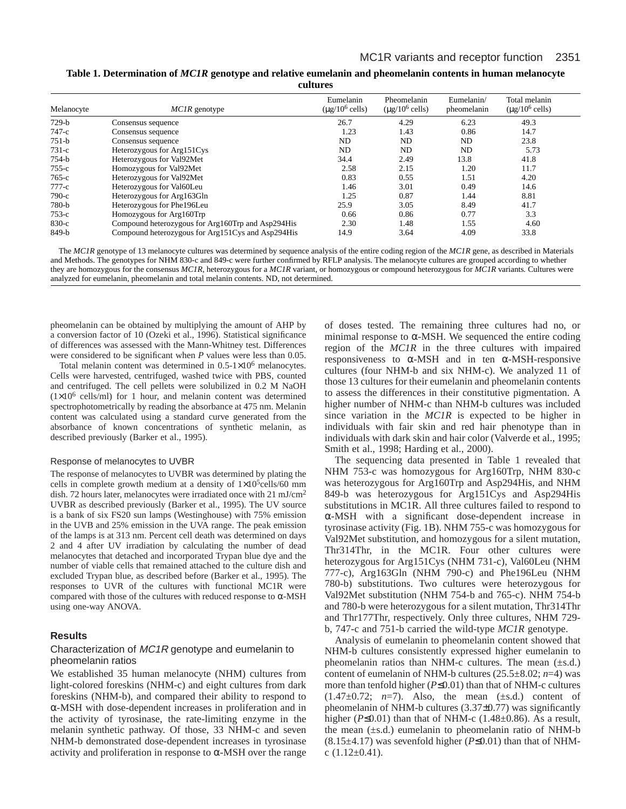**Table 1. Determination of** *MC1R* **genotype and relative eumelanin and pheomelanin contents in human melanocyte cultures**

| Melanocyte | <i>MC1R</i> genotype                              | Eumelanin<br>$(\mu$ g/10 <sup>6</sup> cells) | Pheomelanin<br>$(\mu$ g/10 <sup>6</sup> cells) | Eumelanin/<br>pheomelanin | Total melanin<br>$(\mu$ g/10 <sup>6</sup> cells) |
|------------|---------------------------------------------------|----------------------------------------------|------------------------------------------------|---------------------------|--------------------------------------------------|
| $729-b$    | Consensus sequence                                | 26.7                                         | 4.29                                           | 6.23                      | 49.3                                             |
| $747-c$    | Consensus sequence                                | 1.23                                         | 1.43                                           | 0.86                      | 14.7                                             |
| $751-b$    | Consensus sequence                                | ND                                           | ND                                             | ND                        | 23.8                                             |
| $731-c$    | Heterozygous for Arg151Cys                        | ND                                           | ND                                             | ND                        | 5.73                                             |
| 754-b      | Heterozygous for Val92Met                         | 34.4                                         | 2.49                                           | 13.8                      | 41.8                                             |
| $755-c$    | Homozygous for Val92Met                           | 2.58                                         | 2.15                                           | 1.20                      | 11.7                                             |
| $765-c$    | Heterozygous for Val92Met                         | 0.83                                         | 0.55                                           | 1.51                      | 4.20                                             |
| $777-c$    | Heterozygous for Val60Leu                         | 1.46                                         | 3.01                                           | 0.49                      | 14.6                                             |
| $790-c$    | Heterozygous for Arg163Gln                        | 1.25                                         | 0.87                                           | 1.44                      | 8.81                                             |
| 780-b      | Heterozygous for Phe196Leu                        | 25.9                                         | 3.05                                           | 8.49                      | 41.7                                             |
| $753-c$    | Homozygous for Arg160Trp                          | 0.66                                         | 0.86                                           | 0.77                      | 3.3                                              |
| $830-c$    | Compound heterozygous for Arg160Trp and Asp294His | 2.30                                         | 1.48                                           | 1.55                      | 4.60                                             |
| 849-b      | Compound heterozygous for Arg151Cys and Asp294His | 14.9                                         | 3.64                                           | 4.09                      | 33.8                                             |

The *MC1R* genotype of 13 melanocyte cultures was determined by sequence analysis of the entire coding region of the *MC1R* gene, as described in Materials and Methods. The genotypes for NHM 830-c and 849-c were further confirmed by RFLP analysis. The melanocyte cultures are grouped according to whether they are homozygous for the consensus *MC1R,* heterozygous for a *MC1R* variant*,* or homozygous or compound heterozygous for *MC1R* variants*.* Cultures were analyzed for eumelanin, pheomelanin and total melanin contents. ND, not determined.

pheomelanin can be obtained by multiplying the amount of AHP by a conversion factor of 10 (Ozeki et al., 1996). Statistical significance of differences was assessed with the Mann-Whitney test. Differences were considered to be significant when *P* values were less than 0.05.

Total melanin content was determined in  $0.5-1\times10^6$  melanocytes. Cells were harvested, centrifuged, washed twice with PBS, counted and centrifuged. The cell pellets were solubilized in 0.2 M NaOH  $(1\times10^6 \text{ cells/ml})$  for 1 hour, and melanin content was determined spectrophotometrically by reading the absorbance at 475 nm. Melanin content was calculated using a standard curve generated from the absorbance of known concentrations of synthetic melanin, as described previously (Barker et al., 1995).

#### Response of melanocytes to UVBR

The response of melanocytes to UVBR was determined by plating the cells in complete growth medium at a density of  $1\times10^5$ cells/60 mm dish. 72 hours later, melanocytes were irradiated once with 21 mJ/cm<sup>2</sup> UVBR as described previously (Barker et al., 1995). The UV source is a bank of six FS20 sun lamps (Westinghouse) with 75% emission in the UVB and 25% emission in the UVA range. The peak emission of the lamps is at 313 nm. Percent cell death was determined on days 2 and 4 after UV irradiation by calculating the number of dead melanocytes that detached and incorporated Trypan blue dye and the number of viable cells that remained attached to the culture dish and excluded Trypan blue, as described before (Barker et al., 1995). The responses to UVR of the cultures with functional MC1R were compared with those of the cultures with reduced response to α-MSH using one-way ANOVA.

#### **Results**

#### Characterization of MC1R genotype and eumelanin to pheomelanin ratios

We established 35 human melanocyte (NHM) cultures from light-colored foreskins (NHM-c) and eight cultures from dark foreskins (NHM-b), and compared their ability to respond to α-MSH with dose-dependent increases in proliferation and in the activity of tyrosinase, the rate-limiting enzyme in the melanin synthetic pathway. Of those, 33 NHM-c and seven NHM-b demonstrated dose-dependent increases in tyrosinase activity and proliferation in response to  $\alpha$ -MSH over the range

of doses tested. The remaining three cultures had no, or minimal response to  $\alpha$ -MSH. We sequenced the entire coding region of the *MC1R* in the three cultures with impaired responsiveness to α-MSH and in ten α-MSH-responsive cultures (four NHM-b and six NHM-c). We analyzed 11 of those 13 cultures for their eumelanin and pheomelanin contents to assess the differences in their constitutive pigmentation. A higher number of NHM-c than NHM-b cultures was included since variation in the *MC1R* is expected to be higher in individuals with fair skin and red hair phenotype than in individuals with dark skin and hair color (Valverde et al., 1995; Smith et al., 1998; Harding et al., 2000).

The sequencing data presented in Table 1 revealed that NHM 753-c was homozygous for Arg160Trp, NHM 830-c was heterozygous for Arg160Trp and Asp294His, and NHM 849-b was heterozygous for Arg151Cys and Asp294His substitutions in MC1R. All three cultures failed to respond to α-MSH with a significant dose-dependent increase in tyrosinase activity (Fig. 1B). NHM 755-c was homozygous for Val92Met substitution, and homozygous for a silent mutation, Thr314Thr, in the MC1R. Four other cultures were heterozygous for Arg151Cys (NHM 731-c), Val60Leu (NHM 777-c), Arg163Gln (NHM 790-c) and Phe196Leu (NHM 780-b) substitutions. Two cultures were heterozygous for Val92Met substitution (NHM 754-b and 765-c). NHM 754-b and 780-b were heterozygous for a silent mutation, Thr314Thr and Thr177Thr, respectively. Only three cultures, NHM 729 b, 747-c and 751-b carried the wild-type *MC1R* genotype.

Analysis of eumelanin to pheomelanin content showed that NHM-b cultures consistently expressed higher eumelanin to pheomelanin ratios than NHM-c cultures. The mean (±s.d.) content of eumelanin of NHM-b cultures (25.5±8.02; *n*=4) was more than tenfold higher (*P*≤0.01) than that of NHM-c cultures  $(1.47\pm0.72; n=7)$ . Also, the mean  $(\pm s.d.)$  content of pheomelanin of NHM-b cultures (3.37±0.77) was significantly higher ( $P \le 0.01$ ) than that of NHM-c ( $1.48 \pm 0.86$ ). As a result, the mean (±s.d.) eumelanin to pheomelanin ratio of NHM-b (8.15±4.17) was sevenfold higher (*P*≤0.01) than that of NHMc  $(1.12\pm0.41)$ .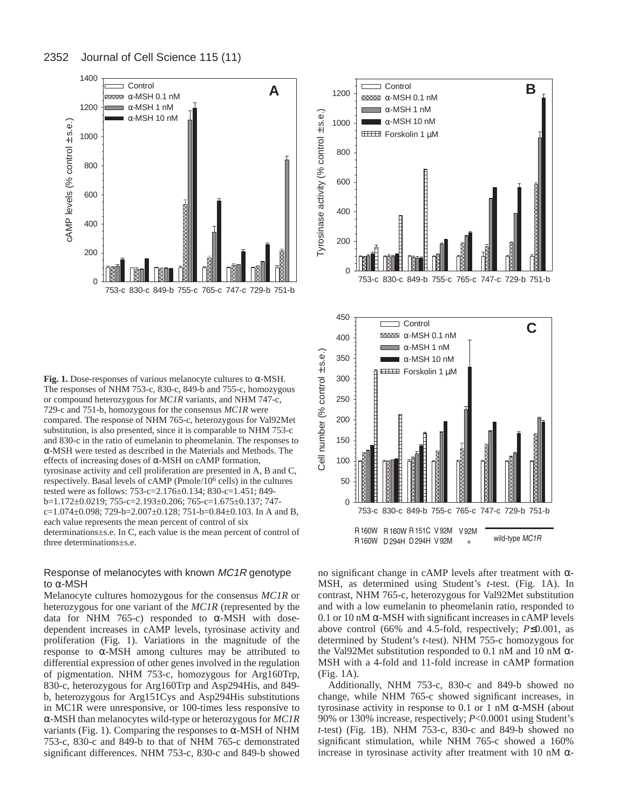

**Fig. 1.** Dose-responses of various melanocyte cultures to α-MSH. The responses of NHM 753-c, 830-c, 849-b and 755-c, homozygous or compound heterozygous for *MC1R* variants, and NHM 747-c, 729-c and 751-b, homozygous for the consensus *MC1R* were compared. The response of NHM 765-c, heterozygous for Val92Met substitution, is also presented, since it is comparable to NHM 753-c and 830-c in the ratio of eumelanin to pheomelanin. The responses to α-MSH were tested as described in the Materials and Methods. The effects of increasing doses of α-MSH on cAMP formation, tyrosinase activity and cell proliferation are presented in A, B and C, respectively. Basal levels of cAMP (Pmole/106 cells) in the cultures tested were as follows: 753-c=2.176±0.134; 830-c=1.451; 849 b=1.172±0.0219; 755-c=2.193±0.206; 765-c=1.675±0.137; 747 c=1.074±0.098; 729-b=2.007±0.128; 751-b=0.84±0.103. In A and B, each value represents the mean percent of control of six determinations±s.e. In C, each value is the mean percent of control of three determinations±s.e.

# Response of melanocytes with known MC1R genotype to α-MSH

Melanocyte cultures homozygous for the consensus *MC1R* or heterozygous for one variant of the *MC1R* (represented by the data for NHM 765-c) responded to α-MSH with dosedependent increases in cAMP levels, tyrosinase activity and proliferation (Fig. 1). Variations in the magnitude of the response to  $\alpha$ -MSH among cultures may be attributed to differential expression of other genes involved in the regulation of pigmentation. NHM 753-c, homozygous for Arg160Trp, 830-c, heterozygous for Arg160Trp and Asp294His, and 849 b, heterozygous for Arg151Cys and Asp294His substitutions in MC1R were unresponsive, or 100-times less responsive to α-MSH than melanocytes wild-type or heterozygous for *MC1R* variants (Fig. 1). Comparing the responses to  $\alpha$ -MSH of NHM 753-c, 830-c and 849-b to that of NHM 765-c demonstrated significant differences. NHM 753-c, 830-c and 849-b showed



no significant change in cAMP levels after treatment with α-MSH, as determined using Student's *t*-test. (Fig. 1A). In contrast, NHM 765-c, heterozygous for Val92Met substitution and with a low eumelanin to pheomelanin ratio, responded to 0.1 or 10 nM  $\alpha$ -MSH with significant increases in cAMP levels above control (66% and 4.5-fold, respectively; *P*≤0.001, as determined by Student's *t*-test). NHM 755-c homozygous for the Val92Met substitution responded to 0.1 nM and 10 nM  $α$ -MSH with a 4-fold and 11-fold increase in cAMP formation (Fig. 1A).

Additionally, NHM 753-c, 830-c and 849-b showed no change, while NHM 765-c showed significant increases, in tyrosinase activity in response to 0.1 or 1 nM α-MSH (about 90% or 130% increase, respectively; *P*<0.0001 using Student's *t*-test) (Fig. 1B). NHM 753-c, 830-c and 849-b showed no significant stimulation, while NHM 765-c showed a 160% increase in tyrosinase activity after treatment with 10 nM α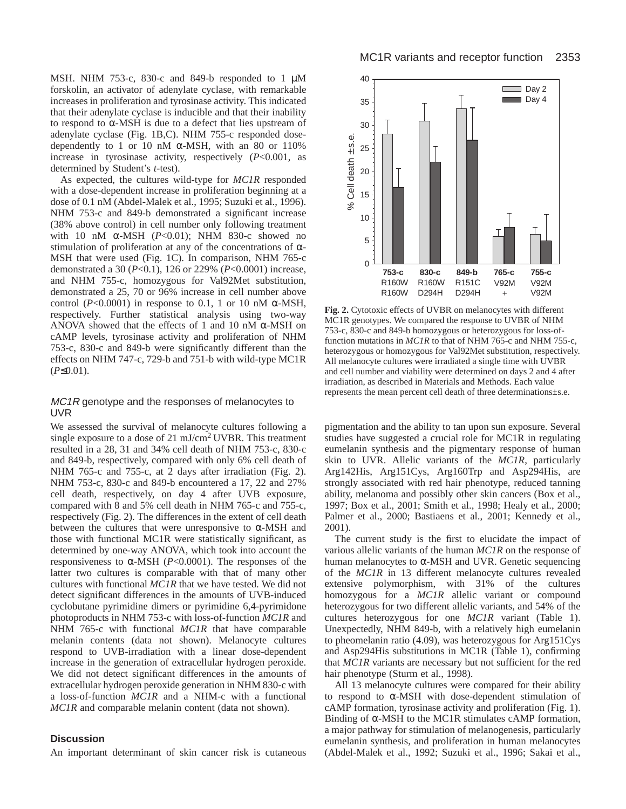MSH. NHM 753-c, 830-c and 849-b responded to 1  $\mu$ M forskolin, an activator of adenylate cyclase, with remarkable increases in proliferation and tyrosinase activity. This indicated that their adenylate cyclase is inducible and that their inability to respond to  $\alpha$ -MSH is due to a defect that lies upstream of adenylate cyclase (Fig. 1B,C). NHM 755-c responded dosedependently to 1 or 10 nM  $\alpha$ -MSH, with an 80 or 110% increase in tyrosinase activity, respectively (*P*<0.001, as determined by Student's *t*-test).

As expected, the cultures wild-type for *MC1R* responded with a dose-dependent increase in proliferation beginning at a dose of 0.1 nM (Abdel-Malek et al., 1995; Suzuki et al., 1996). NHM 753-c and 849-b demonstrated a significant increase (38% above control) in cell number only following treatment with 10 nM α-MSH (*P*<0.01); NHM 830-c showed no stimulation of proliferation at any of the concentrations of  $\alpha$ -MSH that were used (Fig. 1C). In comparison, NHM 765-c demonstrated a 30 (*P*<0.1), 126 or 229% (*P*<0.0001) increase, and NHM 755-c, homozygous for Val92Met substitution, demonstrated a 25, 70 or 96% increase in cell number above control ( $P<0.0001$ ) in response to 0.1, 1 or 10 nM  $\alpha$ -MSH, respectively. Further statistical analysis using two-way ANOVA showed that the effects of 1 and 10 nM  $\alpha$ -MSH on cAMP levels, tyrosinase activity and proliferation of NHM 753-c, 830-c and 849-b were significantly different than the effects on NHM 747-c, 729-b and 751-b with wild-type MC1R (*P*≤0.01).

# MC<sub>1</sub>R genotype and the responses of melanocytes to UVR

We assessed the survival of melanocyte cultures following a single exposure to a dose of 21 mJ/cm2 UVBR. This treatment resulted in a 28, 31 and 34% cell death of NHM 753-c, 830-c and 849-b, respectively, compared with only 6% cell death of NHM 765-c and 755-c, at 2 days after irradiation (Fig. 2). NHM 753-c, 830-c and 849-b encountered a 17, 22 and 27% cell death, respectively, on day 4 after UVB exposure, compared with 8 and 5% cell death in NHM 765-c and 755-c, respectively (Fig. 2). The differences in the extent of cell death between the cultures that were unresponsive to  $\alpha$ -MSH and those with functional MC1R were statistically significant, as determined by one-way ANOVA, which took into account the responsiveness to α-MSH (*P*<0.0001). The responses of the latter two cultures is comparable with that of many other cultures with functional *MC1R* that we have tested*.* We did not detect significant differences in the amounts of UVB-induced cyclobutane pyrimidine dimers or pyrimidine 6,4-pyrimidone photoproducts in NHM 753-c with loss-of-function *MC1R* and NHM 765-c with functional *MC1R* that have comparable melanin contents (data not shown). Melanocyte cultures respond to UVB-irradiation with a linear dose-dependent increase in the generation of extracellular hydrogen peroxide. We did not detect significant differences in the amounts of extracellular hydrogen peroxide generation in NHM 830-c with a loss-of-function *MC1R* and a NHM-c with a functional *MC1R* and comparable melanin content (data not shown)*.*

## **Discussion**

An important determinant of skin cancer risk is cutaneous



**Fig. 2.** Cytotoxic effects of UVBR on melanocytes with different MC1R genotypes. We compared the response to UVBR of NHM 753-c, 830-c and 849-b homozygous or heterozygous for loss-offunction mutations in *MC1R* to that of NHM 765-c and NHM 755-c, heterozygous or homozygous for Val92Met substitution, respectively. All melanocyte cultures were irradiated a single time with UVBR and cell number and viability were determined on days 2 and 4 after irradiation, as described in Materials and Methods. Each value represents the mean percent cell death of three determinations±s.e.

pigmentation and the ability to tan upon sun exposure. Several studies have suggested a crucial role for MC1R in regulating eumelanin synthesis and the pigmentary response of human skin to UVR. Allelic variants of the *MC1R*, particularly Arg142His, Arg151Cys, Arg160Trp and Asp294His, are strongly associated with red hair phenotype, reduced tanning ability, melanoma and possibly other skin cancers (Box et al., 1997; Box et al., 2001; Smith et al., 1998; Healy et al., 2000; Palmer et al., 2000; Bastiaens et al., 2001; Kennedy et al., 2001).

The current study is the first to elucidate the impact of various allelic variants of the human *MC1R* on the response of human melanocytes to α-MSH and UVR. Genetic sequencing of the *MC1R* in 13 different melanocyte cultures revealed extensive polymorphism, with 31% of the cultures homozygous for a *MC1R* allelic variant or compound heterozygous for two different allelic variants, and 54% of the cultures heterozygous for one *MC1R* variant (Table 1). Unexpectedly, NHM 849-b, with a relatively high eumelanin to pheomelanin ratio (4.09), was heterozygous for Arg151Cys and Asp294His substitutions in MC1R (Table 1), confirming that *MC1R* variants are necessary but not sufficient for the red hair phenotype (Sturm et al., 1998).

All 13 melanocyte cultures were compared for their ability to respond to α-MSH with dose-dependent stimulation of cAMP formation, tyrosinase activity and proliferation (Fig. 1). Binding of α-MSH to the MC1R stimulates cAMP formation, a major pathway for stimulation of melanogenesis, particularly eumelanin synthesis, and proliferation in human melanocytes (Abdel-Malek et al., 1992; Suzuki et al., 1996; Sakai et al.,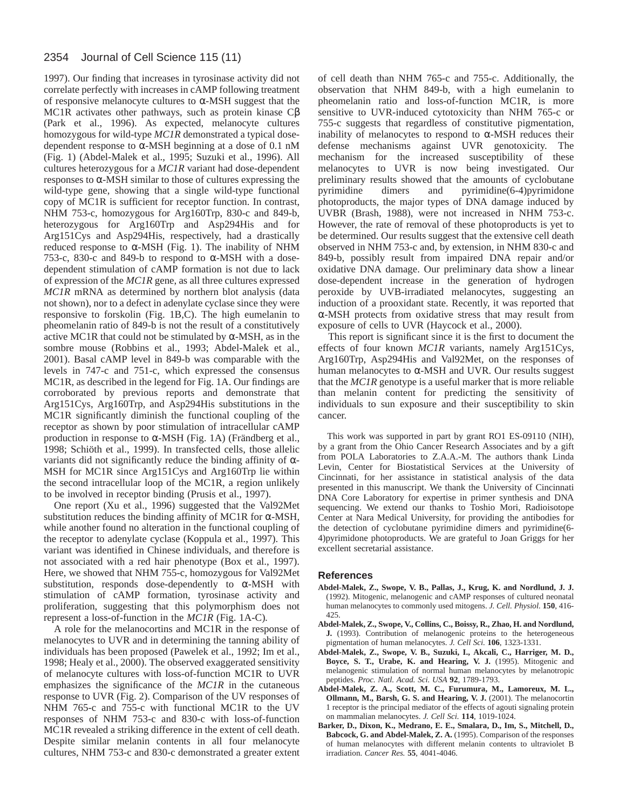#### 2354 Journal of Cell Science 115 (11)

1997). Our finding that increases in tyrosinase activity did not correlate perfectly with increases in cAMP following treatment of responsive melanocyte cultures to α-MSH suggest that the MC1R activates other pathways, such as protein kinase Cβ (Park et al., 1996). As expected, melanocyte cultures homozygous for wild-type *MC1R* demonstrated a typical dosedependent response to  $\alpha$ -MSH beginning at a dose of 0.1 nM (Fig. 1) (Abdel-Malek et al., 1995; Suzuki et al., 1996). All cultures heterozygous for a *MC1R* variant had dose-dependent responses to  $\alpha$ -MSH similar to those of cultures expressing the wild-type gene, showing that a single wild-type functional copy of MC1R is sufficient for receptor function. In contrast, NHM 753-c, homozygous for Arg160Trp, 830-c and 849-b, heterozygous for Arg160Trp and Asp294His and for Arg151Cys and Asp294His, respectively, had a drastically reduced response to α-MSH (Fig. 1). The inability of NHM 753-c, 830-c and 849-b to respond to α-MSH with a dosedependent stimulation of cAMP formation is not due to lack of expression of the *MC1R* gene, as all three cultures expressed *MC1R* mRNA as determined by northern blot analysis (data not shown), nor to a defect in adenylate cyclase since they were responsive to forskolin (Fig. 1B,C). The high eumelanin to pheomelanin ratio of 849-b is not the result of a constitutively active MC1R that could not be stimulated by  $\alpha$ -MSH, as in the sombre mouse (Robbins et al., 1993; Abdel-Malek et al., 2001). Basal cAMP level in 849-b was comparable with the levels in 747-c and 751-c, which expressed the consensus MC1R, as described in the legend for Fig. 1A. Our findings are corroborated by previous reports and demonstrate that Arg151Cys, Arg160Trp, and Asp294His substitutions in the MC1R significantly diminish the functional coupling of the receptor as shown by poor stimulation of intracellular cAMP production in response to α-MSH (Fig. 1A) (Frändberg et al., 1998; Schiöth et al., 1999). In transfected cells, those allelic variants did not significantly reduce the binding affinity of  $\alpha$ -MSH for MC1R since Arg151Cys and Arg160Trp lie within the second intracellular loop of the MC1R, a region unlikely to be involved in receptor binding (Prusis et al., 1997).

One report (Xu et al., 1996) suggested that the Val92Met substitution reduces the binding affinity of MC1R for  $\alpha$ -MSH, while another found no alteration in the functional coupling of the receptor to adenylate cyclase (Koppula et al., 1997). This variant was identified in Chinese individuals, and therefore is not associated with a red hair phenotype (Box et al., 1997). Here, we showed that NHM 755-c, homozygous for Val92Met substitution, responds dose-dependently to  $\alpha$ -MSH with stimulation of cAMP formation, tyrosinase activity and proliferation, suggesting that this polymorphism does not represent a loss-of-function in the *MC1R* (Fig. 1A-C)*.*

A role for the melanocortins and MC1R in the response of melanocytes to UVR and in determining the tanning ability of individuals has been proposed (Pawelek et al., 1992; Im et al., 1998; Healy et al., 2000). The observed exaggerated sensitivity of melanocyte cultures with loss-of-function MC1R to UVR emphasizes the significance of the *MC1R* in the cutaneous response to UVR (Fig. 2). Comparison of the UV responses of NHM 765-c and 755-c with functional MC1R to the UV responses of NHM 753-c and 830-c with loss-of-function MC1R revealed a striking difference in the extent of cell death. Despite similar melanin contents in all four melanocyte cultures, NHM 753-c and 830-c demonstrated a greater extent

of cell death than NHM 765-c and 755-c. Additionally, the observation that NHM 849-b, with a high eumelanin to pheomelanin ratio and loss-of-function MC1R, is more sensitive to UVR-induced cytotoxicity than NHM 765-c or 755-c suggests that regardless of constitutive pigmentation, inability of melanocytes to respond to  $\alpha$ -MSH reduces their defense mechanisms against UVR genotoxicity. The mechanism for the increased susceptibility of these melanocytes to UVR is now being investigated. Our preliminary results showed that the amounts of cyclobutane pyrimidine dimers and pyrimidine(6-4)pyrimidone photoproducts, the major types of DNA damage induced by UVBR (Brash, 1988), were not increased in NHM 753-c. However, the rate of removal of these photoproducts is yet to be determined. Our results suggest that the extensive cell death observed in NHM 753-c and, by extension, in NHM 830-c and 849-b, possibly result from impaired DNA repair and/or oxidative DNA damage. Our preliminary data show a linear dose-dependent increase in the generation of hydrogen peroxide by UVB-irradiated melanocytes, suggesting an induction of a prooxidant state. Recently, it was reported that α-MSH protects from oxidative stress that may result from exposure of cells to UVR (Haycock et al., 2000).

This report is significant since it is the first to document the effects of four known *MC1R* variants, namely Arg151Cys, Arg160Trp, Asp294His and Val92Met, on the responses of human melanocytes to α-MSH and UVR. Our results suggest that the *MC1R* genotype is a useful marker that is more reliable than melanin content for predicting the sensitivity of individuals to sun exposure and their susceptibility to skin cancer.

This work was supported in part by grant RO1 ES-09110 (NIH), by a grant from the Ohio Cancer Research Associates and by a gift from POLA Laboratories to Z.A.A.-M. The authors thank Linda Levin, Center for Biostatistical Services at the University of Cincinnati, for her assistance in statistical analysis of the data presented in this manuscript. We thank the University of Cincinnati DNA Core Laboratory for expertise in primer synthesis and DNA sequencing. We extend our thanks to Toshio Mori, Radioisotope Center at Nara Medical University, for providing the antibodies for the detection of cyclobutane pyrimidine dimers and pyrimidine(6- 4)pyrimidone photoproducts. We are grateful to Joan Griggs for her excellent secretarial assistance.

#### **References**

- **Abdel-Malek, Z., Swope, V. B., Pallas, J., Krug, K. and Nordlund, J. J.** (1992). Mitogenic, melanogenic and cAMP responses of cultured neonatal human melanocytes to commonly used mitogens. *J. Cell. Physiol.* **150**, 416- 425.
- **Abdel-Malek, Z., Swope, V., Collins, C., Boissy, R., Zhao, H. and Nordlund, J.** (1993). Contribution of melanogenic proteins to the heterogeneous pigmentation of human melanocytes. *J. Cell Sci.* **106**, 1323-1331.
- **Abdel-Malek, Z., Swope, V. B., Suzuki, I., Akcali, C., Harriger, M. D., Boyce, S. T., Urabe, K. and Hearing, V. J.** (1995). Mitogenic and melanogenic stimulation of normal human melanocytes by melanotropic peptides. *Proc. Natl. Acad. Sci. USA* **92**, 1789-1793.
- **Abdel-Malek, Z. A., Scott, M. C., Furumura, M., Lamoreux, M. L., Ollmann, M., Barsh, G. S. and Hearing, V. J.** (2001). The melanocortin 1 receptor is the principal mediator of the effects of agouti signaling protein on mammalian melanocytes. *J. Cell Sci.* **114**, 1019-1024.
- **Barker, D., Dixon, K., Medrano, E. E., Smalara, D., Im, S., Mitchell, D.,** Babcock, G. and Abdel-Malek, Z. A. (1995). Comparison of the responses of human melanocytes with different melanin contents to ultraviolet B irradiation. *Cancer Res.* **55**, 4041-4046.